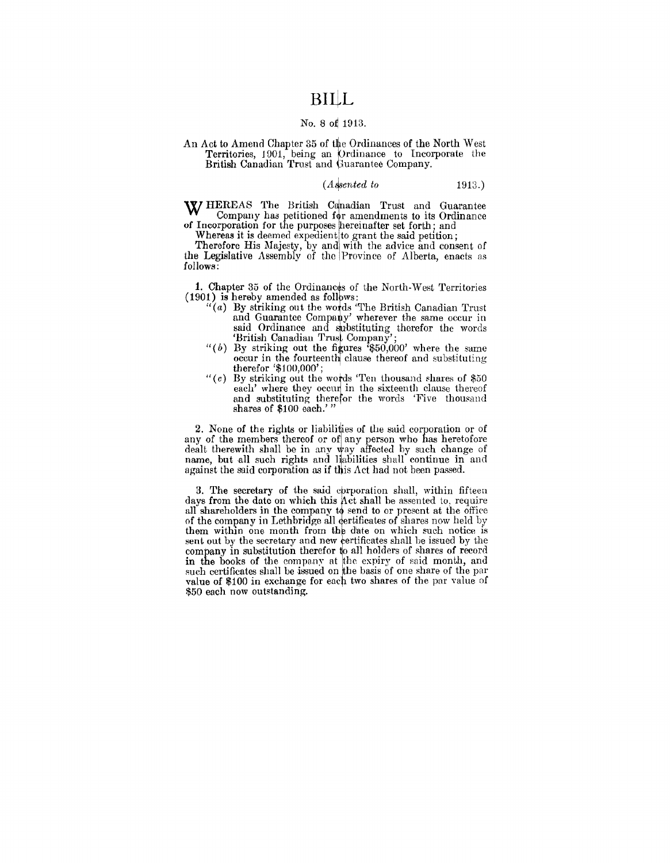### **BiijL**

#### No. 8 of 1913.

An Act to Amend Chapter 35 of the Ordinances of the North West Territories, 1901, being an Ordinance to Incorporate the British Canadian Trust and Guarantee Company.

#### *(A.{sented to* 1913.)

W HEREAS The British Canadian Trust and Guarantee Company has petitioned for amendments to its Ordinance of Incorporation for the purposes hereinafter set forth; and

Whereas it is deemed expedient to grant the said petition;

Therefore His Majesty, by and with the advice and consent of the Legislative Assembly of the Province of Alberta, enacts as follows:

1. Chapter 35 of the Ordinances of the North-West Territories  $(1901)$  is hereby amended as follows:

- $``(a)$  By striking out the words "The British Canadian Trust" and Guarantee Company' wherever the same occur in said Ordinance and substituting therefor the words 'British Canadian Trust Company
- "(b) By striking out the figures  $i\frac{1}{6}50,000$  where the same occur in the fourteenth clause thereof and substituting therefor '\$100,000';
- " $(c)$  By striking out the words 'Ten thousand shares of \$50 each' where they occur in the sixteenth clause thereof and substituting therefor the words 'Five thousand shares of \$100 each.' "

2. None of the rights or liabilities of the said corporation or of any of the members thereof or of any person who has heretofore dealt therewith shall be in any way affected by such change of name, but all such rights and liabilities shall continue in and against the said corporation as if this Act had not been passed.

3. The secretary of the said epropration shall, within fifteen days from the date on which this Act shall be assented to, require all shareholders in the company to send to or present at the office of the company in Lethbridge all dertificates of shares now held by them within one month from the date on which such notice is sent out by the secretary and new ertificates shall be issued by the company in substitution therefor to all holders of shares of record in the books of the company at the expiry of said month, and such certificates shall be issued on the basis of one share of the par value of \$100 in exchange for each two shares of the par value of \$50 each now outstanding.